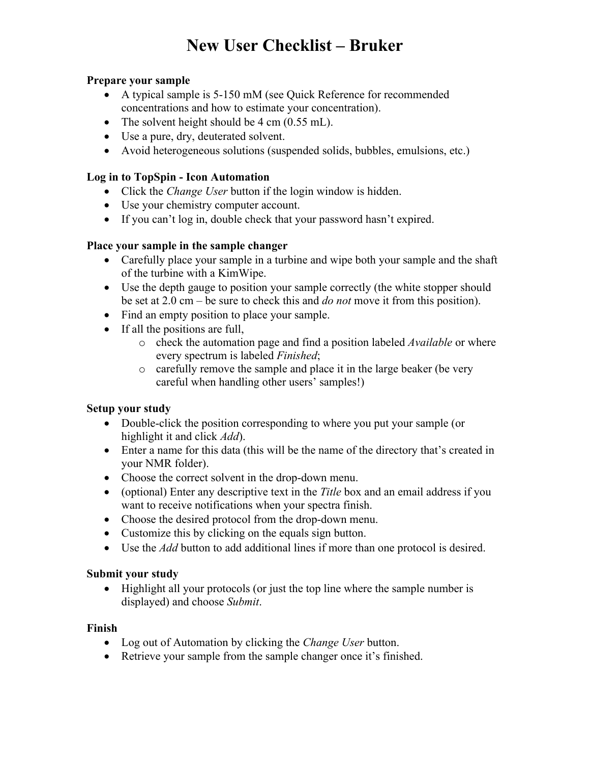# **New User Checklist – Bruker**

### **Prepare your sample**

- A typical sample is 5-150 mM (see Quick Reference for recommended concentrations and how to estimate your concentration).
- The solvent height should be  $4 \text{ cm } (0.55 \text{ mL})$ .
- Use a pure, dry, deuterated solvent.
- Avoid heterogeneous solutions (suspended solids, bubbles, emulsions, etc.)

### **Log in to TopSpin - Icon Automation**

- Click the *Change User* button if the login window is hidden.
- Use your chemistry computer account.
- If you can't log in, double check that your password hasn't expired.

# **Place your sample in the sample changer**

- Carefully place your sample in a turbine and wipe both your sample and the shaft of the turbine with a KimWipe.
- Use the depth gauge to position your sample correctly (the white stopper should be set at 2.0 cm – be sure to check this and *do not* move it from this position).
- Find an empty position to place your sample.
- If all the positions are full,
	- o check the automation page and find a position labeled *Available* or where every spectrum is labeled *Finished*;
	- o carefully remove the sample and place it in the large beaker (be very careful when handling other users' samples!)

# **Setup your study**

- Double-click the position corresponding to where you put your sample (or highlight it and click *Add*).
- Enter a name for this data (this will be the name of the directory that's created in your NMR folder).
- Choose the correct solvent in the drop-down menu.
- (optional) Enter any descriptive text in the *Title* box and an email address if you want to receive notifications when your spectra finish.
- Choose the desired protocol from the drop-down menu.
- Customize this by clicking on the equals sign button.
- Use the *Add* button to add additional lines if more than one protocol is desired.

# **Submit your study**

• Highlight all your protocols (or just the top line where the sample number is displayed) and choose *Submit*.

# **Finish**

- Log out of Automation by clicking the *Change User* button.
- Retrieve your sample from the sample changer once it's finished.